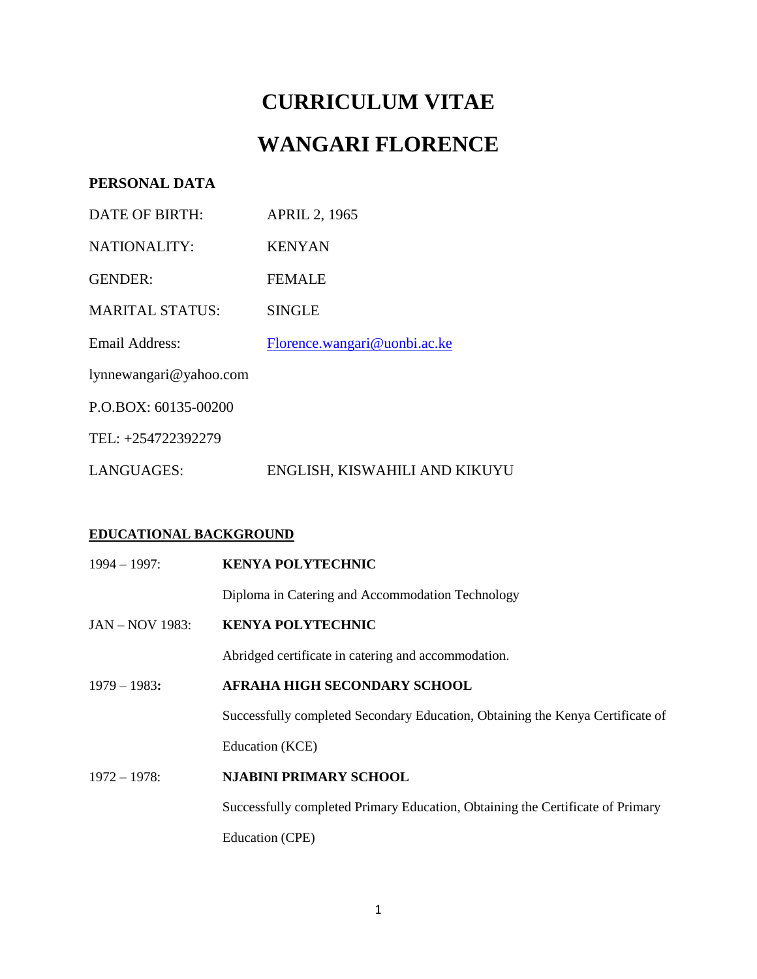# **CURRICULUM VITAE WANGARI FLORENCE**

## **PERSONAL DATA**

| DATE OF BIRTH:         | <b>APRIL 2, 1965</b>          |
|------------------------|-------------------------------|
| NATIONALITY:           | <b>KENYAN</b>                 |
| <b>GENDER:</b>         | <b>FEMALE</b>                 |
| <b>MARITAL STATUS:</b> | <b>SINGLE</b>                 |
| Email Address:         | Florence.wangari@uonbi.ac.ke  |
| lynnewangari@yahoo.com |                               |
| $P.O.BOX: 60135-00200$ |                               |
| TEL: +254722392279     |                               |
| LANGUAGES:             | ENGLISH, KISWAHILI AND KIKUYU |

## **EDUCATIONAL BACKGROUND**

| $1994 - 1997$ :        | <b>KENYA POLYTECHNIC</b>                                                       |
|------------------------|--------------------------------------------------------------------------------|
|                        | Diploma in Catering and Accommodation Technology                               |
| <b>JAN – NOV 1983:</b> | <b>KENYA POLYTECHNIC</b>                                                       |
|                        | Abridged certificate in catering and accommodation.                            |
| $1979 - 1983$ :        | AFRAHA HIGH SECONDARY SCHOOL                                                   |
|                        | Successfully completed Secondary Education, Obtaining the Kenya Certificate of |
|                        | Education (KCE)                                                                |
| $1972 - 1978$ :        | <b>NJABINI PRIMARY SCHOOL</b>                                                  |
|                        | Successfully completed Primary Education, Obtaining the Certificate of Primary |
|                        | Education (CPE)                                                                |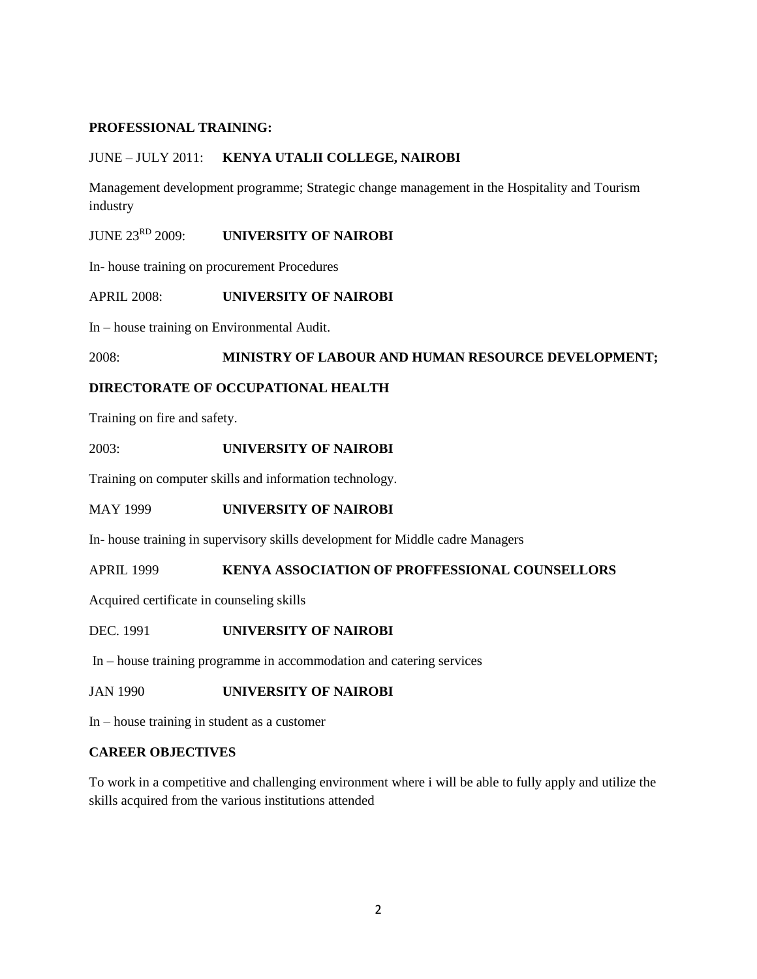#### **PROFESSIONAL TRAINING:**

#### JUNE – JULY 2011: **KENYA UTALII COLLEGE, NAIROBI**

Management development programme; Strategic change management in the Hospitality and Tourism industry

JUNE 23<sup>RD</sup> 2009: **UNIVERSITY OF NAIROBI** 

In- house training on procurement Procedures

APRIL 2008: **UNIVERSITY OF NAIROBI**

In – house training on Environmental Audit.

#### 2008: **MINISTRY OF LABOUR AND HUMAN RESOURCE DEVELOPMENT;**

#### **DIRECTORATE OF OCCUPATIONAL HEALTH**

Training on fire and safety.

2003: **UNIVERSITY OF NAIROBI**

Training on computer skills and information technology.

#### MAY 1999 **UNIVERSITY OF NAIROBI**

In- house training in supervisory skills development for Middle cadre Managers

APRIL 1999 **KENYA ASSOCIATION OF PROFFESSIONAL COUNSELLORS**

Acquired certificate in counseling skills

#### DEC. 1991 **UNIVERSITY OF NAIROBI**

In – house training programme in accommodation and catering services

JAN 1990 **UNIVERSITY OF NAIROBI**

In – house training in student as a customer

#### **CAREER OBJECTIVES**

To work in a competitive and challenging environment where i will be able to fully apply and utilize the skills acquired from the various institutions attended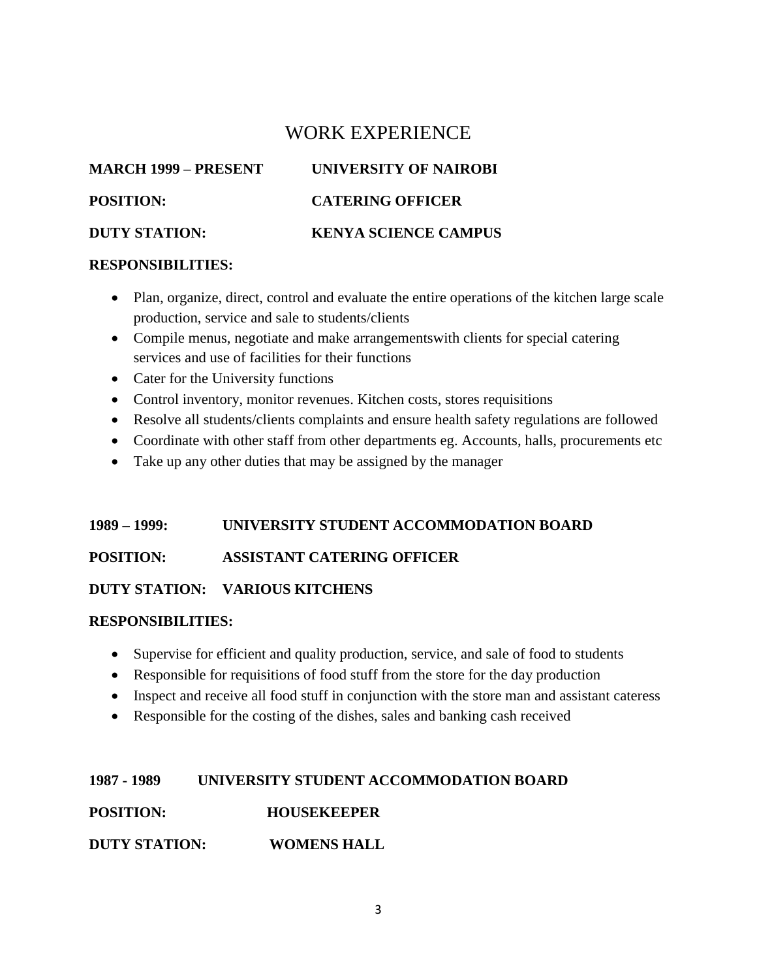## WORK EXPERIENCE

**MARCH 1999 – PRESENT UNIVERSITY OF NAIROBI POSITION: CATERING OFFICER DUTY STATION: KENYA SCIENCE CAMPUS** 

## **RESPONSIBILITIES:**

- Plan, organize, direct, control and evaluate the entire operations of the kitchen large scale production, service and sale to students/clients
- Compile menus, negotiate and make arrangementswith clients for special catering services and use of facilities for their functions
- Cater for the University functions
- Control inventory, monitor revenues. Kitchen costs, stores requisitions
- Resolve all students/clients complaints and ensure health safety regulations are followed
- Coordinate with other staff from other departments eg. Accounts, halls, procurements etc
- Take up any other duties that may be assigned by the manager

## **1989 – 1999: UNIVERSITY STUDENT ACCOMMODATION BOARD**

### **POSITION: ASSISTANT CATERING OFFICER**

### **DUTY STATION: VARIOUS KITCHENS**

### **RESPONSIBILITIES:**

- Supervise for efficient and quality production, service, and sale of food to students
- Responsible for requisitions of food stuff from the store for the day production
- Inspect and receive all food stuff in conjunction with the store man and assistant cateress
- Responsible for the costing of the dishes, sales and banking cash received

### **1987 - 1989 UNIVERSITY STUDENT ACCOMMODATION BOARD**

**POSITION: HOUSEKEEPER**

**DUTY STATION: WOMENS HALL**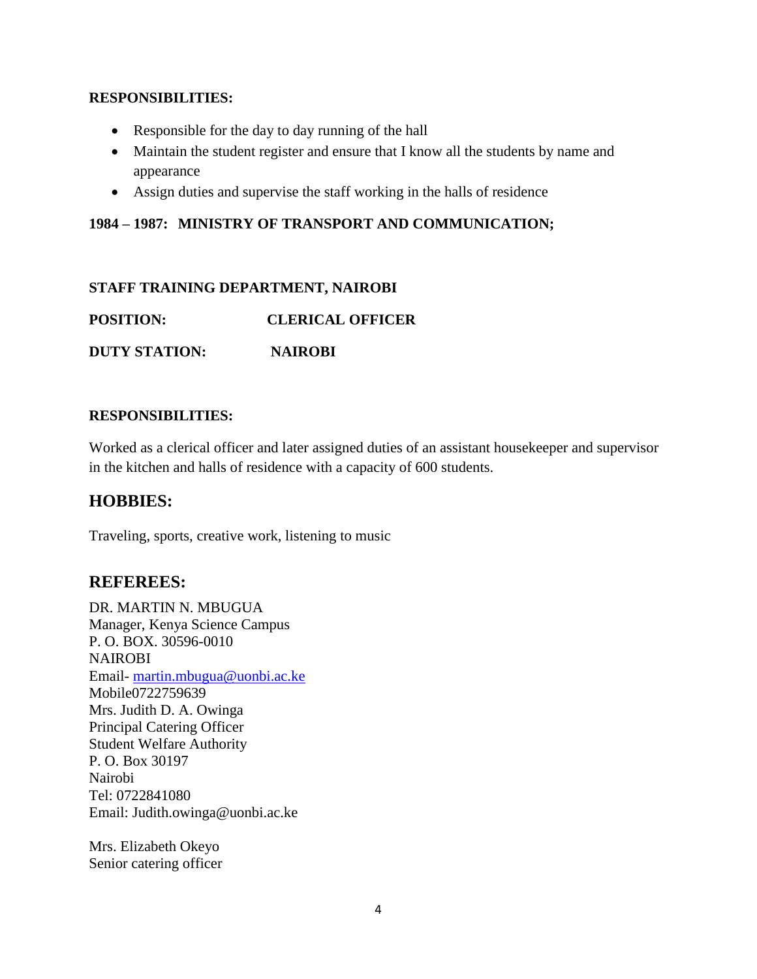### **RESPONSIBILITIES:**

- Responsible for the day to day running of the hall
- Maintain the student register and ensure that I know all the students by name and appearance
- Assign duties and supervise the staff working in the halls of residence

## **1984 – 1987: MINISTRY OF TRANSPORT AND COMMUNICATION;**

### **STAFF TRAINING DEPARTMENT, NAIROBI**

**POSITION: CLERICAL OFFICER**

**DUTY STATION: NAIROBI**

#### **RESPONSIBILITIES:**

Worked as a clerical officer and later assigned duties of an assistant housekeeper and supervisor in the kitchen and halls of residence with a capacity of 600 students.

## **HOBBIES:**

Traveling, sports, creative work, listening to music

## **REFEREES:**

DR. MARTIN N. MBUGUA Manager, Kenya Science Campus P. O. BOX. 30596-0010 NAIROBI Email- [martin.mbugua@uonbi.ac.ke](mailto:martin.mbugua@uonbi.ac.ke) Mobile0722759639 Mrs. Judith D. A. Owinga Principal Catering Officer Student Welfare Authority P. O. Box 30197 Nairobi Tel: 0722841080 Email: Judith.owinga@uonbi.ac.ke

Mrs. Elizabeth Okeyo Senior catering officer